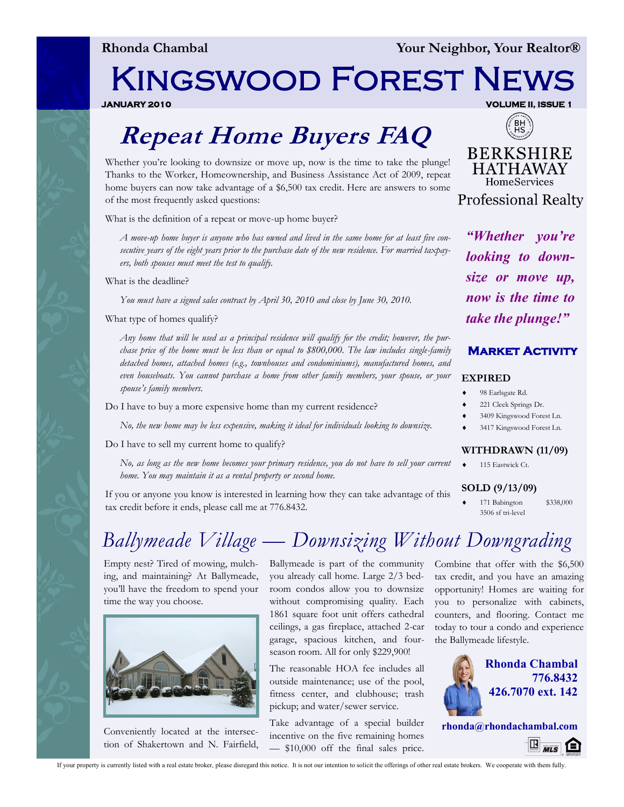**Rhonda Chambal Your Neighbor, Your Realtor®**

# Kingswood Forest News

**JANUARY 2010 VOLUME II, ISSUE 1** 

## **Repeat Home Buyers FAQ**

Whether you're looking to downsize or move up, now is the time to take the plunge! Thanks to the Worker, Homeownership, and Business Assistance Act of 2009, repeat home buyers can now take advantage of a \$6,500 tax credit. Here are answers to some of the most frequently asked questions:

What is the definition of a repeat or move-up home buyer?

*A move-up home buyer is anyone who has owned and lived in the same home for at least five consecutive years of the eight years prior to the purchase date of the new residence. For married taxpayers, both spouses must meet the test to qualify.* 

What is the deadline?

*You must have a signed sales contract by April 30, 2010 and close by June 30, 2010.*

What type of homes qualify?

*Any home that will be used as a principal residence will qualify for the credit; however, the purchase price of the home must be less than or equal to \$800,000. The law includes single-family detached homes, attached homes (e.g., townhouses and condominiums), manufactured homes, and even houseboats. You cannot purchase a home from other family members, your spouse, or your spouse's family members.* 

Do I have to buy a more expensive home than my current residence?

*No, the new home may be less expensive, making it ideal for individuals looking to downsize.*

Do I have to sell my current home to qualify?

*No, as long as the new home becomes your primary residence, you do not have to sell your current home. You may maintain it as a rental property or second home.*

If you or anyone you know is interested in learning how they can take advantage of this tax credit before it ends, please call me at 776.8432.



*"Whether you're looking to downsize or move up, now is the time to take the plunge!"*

#### **Market Activity**

#### **EXPIRED**

- 98 Earlsgate Rd.
- 221 Cleek Springs Dr.
- 3409 Kingswood Forest Ln.
- 3417 Kingswood Forest Ln.

#### **WITHDRAWN (11/09)**

115 Eastwick Ct.

#### **SOLD (9/13/09)**

 171 Babington \$338,000 3506 sf tri-level

## *Ballymeade Village — Downsizing Without Downgrading*

Empty nest? Tired of mowing, mulching, and maintaining? At Ballymeade, you'll have the freedom to spend your time the way you choose.



Conveniently located at the intersection of Shakertown and N. Fairfield,

Ballymeade is part of the community you already call home. Large 2/3 bedroom condos allow you to downsize without compromising quality. Each 1861 square foot unit offers cathedral ceilings, a gas fireplace, attached 2-car garage, spacious kitchen, and fourseason room. All for only \$229,900!

The reasonable HOA fee includes all outside maintenance; use of the pool, fitness center, and clubhouse; trash pickup; and water/sewer service.

Take advantage of a special builder incentive on the five remaining homes — \$10,000 off the final sales price. Combine that offer with the \$6,500 tax credit, and you have an amazing opportunity! Homes are waiting for you to personalize with cabinets, counters, and flooring. Contact me today to tour a condo and experience the Ballymeade lifestyle.



**rhonda@rhondachambal.com**  $\mathbb{E}_{\mathit{mls}}$   $\mathbb{\Omega}$